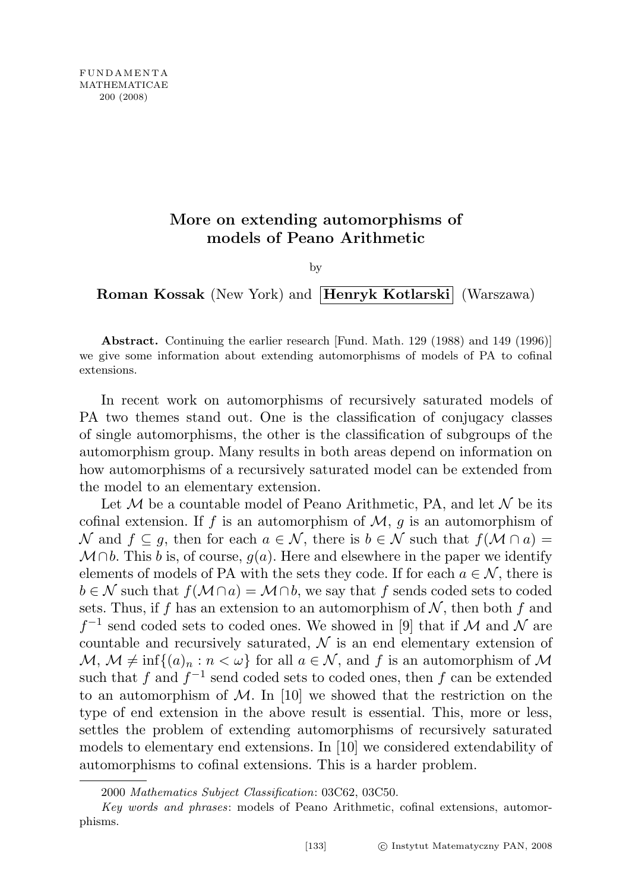## More on extending automorphisms of models of Peano Arithmetic

by

Roman Kossak (New York) and Henryk Kotlarski (Warszawa)

Abstract. Continuing the earlier research [Fund. Math. 129 (1988) and 149 (1996)] we give some information about extending automorphisms of models of PA to cofinal extensions.

In recent work on automorphisms of recursively saturated models of PA two themes stand out. One is the classification of conjugacy classes of single automorphisms, the other is the classification of subgroups of the automorphism group. Many results in both areas depend on information on how automorphisms of a recursively saturated model can be extended from the model to an elementary extension.

Let  $M$  be a countable model of Peano Arithmetic, PA, and let  $N$  be its cofinal extension. If f is an automorphism of  $M$ , g is an automorphism of N and  $f \subseteq q$ , then for each  $a \in \mathcal{N}$ , there is  $b \in \mathcal{N}$  such that  $f(\mathcal{M} \cap a) =$  $\mathcal{M} \cap b$ . This b is, of course,  $g(a)$ . Here and elsewhere in the paper we identify elements of models of PA with the sets they code. If for each  $a \in \mathcal{N}$ , there is  $b \in \mathcal{N}$  such that  $f(\mathcal{M} \cap a) = \mathcal{M} \cap b$ , we say that f sends coded sets to coded sets. Thus, if f has an extension to an automorphism of  $N$ , then both f and  $f^{-1}$  send coded sets to coded ones. We showed in [9] that if M and N are countable and recursively saturated,  $\mathcal N$  is an end elementary extension of  $\mathcal{M}, \mathcal{M} \neq \inf\{(a)_n : n < \omega\}$  for all  $a \in \mathcal{N}$ , and f is an automorphism of M such that f and  $f^{-1}$  send coded sets to coded ones, then f can be extended to an automorphism of  $\mathcal{M}$ . In [10] we showed that the restriction on the type of end extension in the above result is essential. This, more or less, settles the problem of extending automorphisms of recursively saturated models to elementary end extensions. In [10] we considered extendability of automorphisms to cofinal extensions. This is a harder problem.

<sup>2000</sup> Mathematics Subject Classification: 03C62, 03C50.

Key words and phrases: models of Peano Arithmetic, cofinal extensions, automorphisms.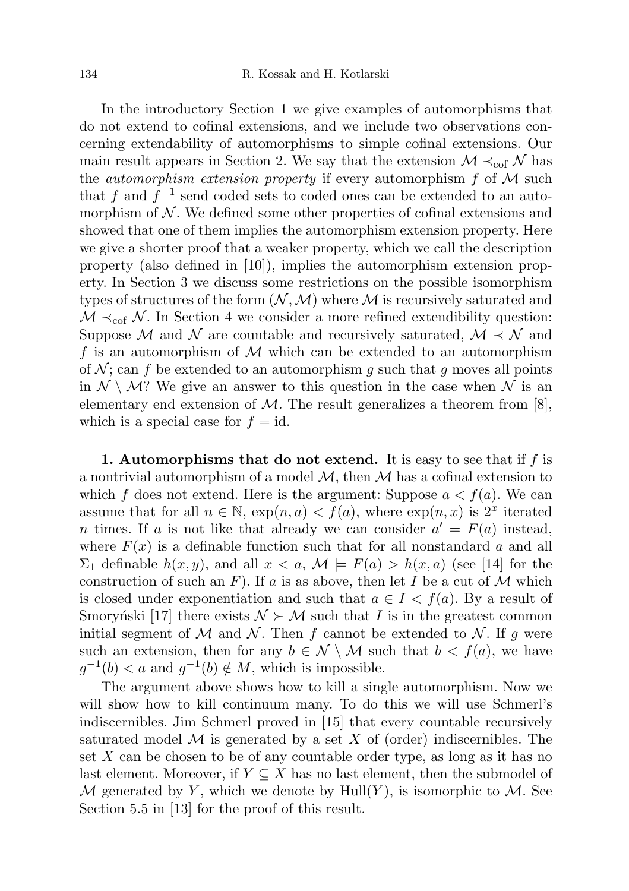In the introductory Section 1 we give examples of automorphisms that do not extend to cofinal extensions, and we include two observations concerning extendability of automorphisms to simple cofinal extensions. Our main result appears in Section 2. We say that the extension  $\mathcal{M} \prec_{\text{cof}} \mathcal{N}$  has the *automorphism extension property* if every automorphism  $f$  of  $M$  such that f and  $f^{-1}$  send coded sets to coded ones can be extended to an automorphism of  $N$ . We defined some other properties of cofinal extensions and showed that one of them implies the automorphism extension property. Here we give a shorter proof that a weaker property, which we call the description property (also defined in [10]), implies the automorphism extension property. In Section 3 we discuss some restrictions on the possible isomorphism types of structures of the form  $(N, M)$  where M is recursively saturated and  $M \prec_{\text{cof}} N$ . In Section 4 we consider a more refined extendibility question: Suppose M and N are countable and recursively saturated,  $\mathcal{M} \prec \mathcal{N}$  and f is an automorphism of  $M$  which can be extended to an automorphism of  $\mathcal N$ ; can f be extended to an automorphism q such that q moves all points in  $\mathcal{N} \setminus \mathcal{M}$ ? We give an answer to this question in the case when  $\mathcal{N}$  is an elementary end extension of  $M$ . The result generalizes a theorem from [8], which is a special case for  $f = id$ .

1. Automorphisms that do not extend. It is easy to see that if  $f$  is a nontrivial automorphism of a model  $M$ , then M has a cofinal extension to which f does not extend. Here is the argument: Suppose  $a < f(a)$ . We can assume that for all  $n \in \mathbb{N}$ ,  $\exp(n, a) < f(a)$ , where  $\exp(n, x)$  is  $2^x$  iterated n times. If a is not like that already we can consider  $a' = F(a)$  instead, where  $F(x)$  is a definable function such that for all nonstandard a and all  $\Sigma_1$  definable  $h(x, y)$ , and all  $x < a$ ,  $\mathcal{M} \models F(a) > h(x, a)$  (see [14] for the construction of such an F). If a is as above, then let I be a cut of M which is closed under exponentiation and such that  $a \in I < f(a)$ . By a result of Smoryn'ski [17] there exists  $\mathcal{N} \succ \mathcal{M}$  such that I is in the greatest common initial segment of M and N. Then f cannot be extended to N. If g were such an extension, then for any  $b \in \mathcal{N} \setminus \mathcal{M}$  such that  $b < f(a)$ , we have  $g^{-1}(b) < a$  and  $g^{-1}(b) \notin M$ , which is impossible.

The argument above shows how to kill a single automorphism. Now we will show how to kill continuum many. To do this we will use Schmerl's indiscernibles. Jim Schmerl proved in [15] that every countable recursively saturated model  $M$  is generated by a set X of (order) indiscernibles. The set  $X$  can be chosen to be of any countable order type, as long as it has no last element. Moreover, if  $Y \subseteq X$  has no last element, then the submodel of M generated by Y, which we denote by  $Hull(Y)$ , is isomorphic to M. See Section 5.5 in [13] for the proof of this result.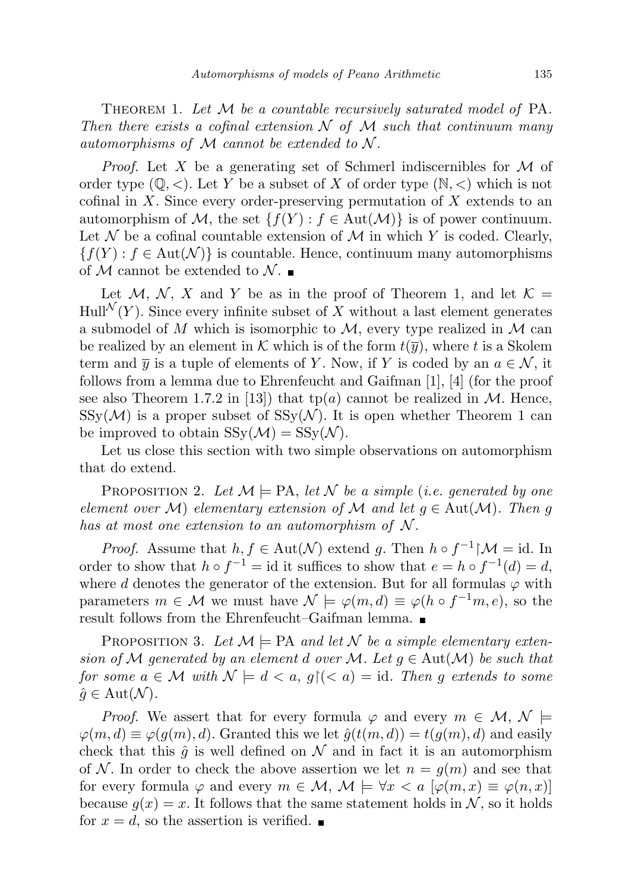THEOREM 1. Let  $\mathcal M$  be a countable recursively saturated model of PA. Then there exists a cofinal extension  $\mathcal N$  of  $\mathcal M$  such that continuum many automorphisms of  $M$  cannot be extended to  $N$ .

*Proof.* Let X be a generating set of Schmerl indiscernibles for  $\mathcal M$  of order type  $(\mathbb{Q}, \leq)$ . Let Y be a subset of X of order type  $(\mathbb{N}, \leq)$  which is not cofinal in  $X$ . Since every order-preserving permutation of  $X$  extends to an automorphism of M, the set  $\{f(Y) : f \in Aut(M)\}$  is of power continuum. Let  $\mathcal N$  be a cofinal countable extension of  $\mathcal M$  in which Y is coded. Clearly,  ${f(Y) : f \in Aut(N)}$  is countable. Hence, continuum many automorphisms of M cannot be extended to  $\mathcal{N}$ .

Let M, N, X and Y be as in the proof of Theorem 1, and let  $\mathcal{K} =$  $Hull^{\mathcal{N}}(Y)$ . Since every infinite subset of X without a last element generates a submodel of M which is isomorphic to  $M$ , every type realized in M can be realized by an element in K which is of the form  $t(\bar{y})$ , where t is a Skolem term and  $\overline{y}$  is a tuple of elements of Y. Now, if Y is coded by an  $a \in \mathcal{N}$ , it follows from a lemma due to Ehrenfeucht and Gaifman [1], [4] (for the proof see also Theorem 1.7.2 in [13]) that  $tp(a)$  cannot be realized in M. Hence,  $SSy(\mathcal{M})$  is a proper subset of  $SSy(\mathcal{N})$ . It is open whether Theorem 1 can be improved to obtain  $SSy(\mathcal{M}) = SSy(\mathcal{N}).$ 

Let us close this section with two simple observations on automorphism that do extend.

PROPOSITION 2. Let  $\mathcal{M} \models PA$ , let  $\mathcal{N}$  be a simple (i.e. generated by one element over M) elementary extension of M and let  $g \in Aut(M)$ . Then g has at most one extension to an automorphism of  $N$ .

*Proof.* Assume that  $h, f \in Aut(\mathcal{N})$  extend g. Then  $h \circ f^{-1} \upharpoonright \mathcal{M} = id$ . In order to show that  $h \circ f^{-1} = id$  it suffices to show that  $e = h \circ f^{-1}(d) = d$ , where d denotes the generator of the extension. But for all formulas  $\varphi$  with parameters  $m \in \mathcal{M}$  we must have  $\mathcal{N} \models \varphi(m, d) \equiv \varphi(h \circ f^{-1}m, e)$ , so the result follows from the Ehrenfeucht–Gaifman lemma.

PROPOSITION 3. Let  $\mathcal{M} \models PA$  and let N be a simple elementary extension of M generated by an element d over M. Let  $g \in Aut(M)$  be such that for some  $a \in \mathcal{M}$  with  $\mathcal{N} \models d \leq a, g \in \mathcal{G}$  and  $\mathcal{M} \models id$ . Then g extends to some  $\hat{g} \in \text{Aut}(\mathcal{N}).$ 

*Proof.* We assert that for every formula  $\varphi$  and every  $m \in \mathcal{M}, \mathcal{N} \models$  $\varphi(m, d) \equiv \varphi(g(m), d)$ . Granted this we let  $\hat{g}(t(m, d)) = t(g(m), d)$  and easily check that this  $\hat{q}$  is well defined on N and in fact it is an automorphism of N. In order to check the above assertion we let  $n = g(m)$  and see that for every formula  $\varphi$  and every  $m \in \mathcal{M}, \mathcal{M} \models \forall x \leq a \; [\varphi(m,x) \equiv \varphi(n,x)]$ because  $g(x) = x$ . It follows that the same statement holds in N, so it holds for  $x = d$ , so the assertion is verified.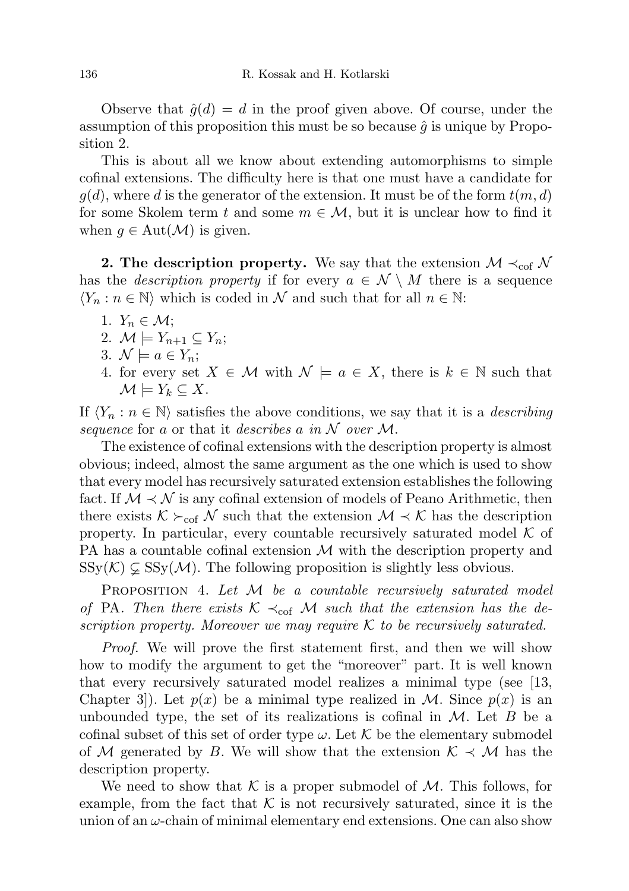Observe that  $\hat{g}(d) = d$  in the proof given above. Of course, under the assumption of this proposition this must be so because  $\hat{g}$  is unique by Proposition 2.

This is about all we know about extending automorphisms to simple cofinal extensions. The difficulty here is that one must have a candidate for  $g(d)$ , where d is the generator of the extension. It must be of the form  $t(m, d)$ for some Skolem term t and some  $m \in \mathcal{M}$ , but it is unclear how to find it when  $g \in \text{Aut}(\mathcal{M})$  is given.

2. The description property. We say that the extension  $\mathcal{M} \prec_{\text{cof}} \mathcal{N}$ has the *description property* if for every  $a \in \mathcal{N} \setminus M$  there is a sequence  $\langle Y_n : n \in \mathbb{N} \rangle$  which is coded in N and such that for all  $n \in \mathbb{N}$ :

- 1.  $Y_n \in \mathcal{M}$ ;
- 2.  $\mathcal{M} \models Y_{n+1} \subseteq Y_n$ ;
- 3.  $\mathcal{N} \models a \in Y_n;$
- 4. for every set  $X \in \mathcal{M}$  with  $\mathcal{N} \models a \in X$ , there is  $k \in \mathbb{N}$  such that  $\mathcal{M} \models Y_k \subseteq X.$

If  $\langle Y_n : n \in \mathbb{N} \rangle$  satisfies the above conditions, we say that it is a *describing* sequence for a or that it describes a in  $\mathcal N$  over  $\mathcal M$ .

The existence of cofinal extensions with the description property is almost obvious; indeed, almost the same argument as the one which is used to show that every model has recursively saturated extension establishes the following fact. If  $M \prec N$  is any cofinal extension of models of Peano Arithmetic, then there exists  $K \succeq_{\text{cof}} N$  such that the extension  $\mathcal{M} \prec \mathcal{K}$  has the description property. In particular, every countable recursively saturated model  $K$  of PA has a countable cofinal extension  $\mathcal M$  with the description property and  $SSy(\mathcal{K}) \subsetneq SSy(\mathcal{M})$ . The following proposition is slightly less obvious.

PROPOSITION 4. Let M be a countable recursively saturated model of PA. Then there exists  $K \prec_{\text{cof}} M$  such that the extension has the description property. Moreover we may require  $K$  to be recursively saturated.

Proof. We will prove the first statement first, and then we will show how to modify the argument to get the "moreover" part. It is well known that every recursively saturated model realizes a minimal type (see [13, Chapter 3. Let  $p(x)$  be a minimal type realized in M. Since  $p(x)$  is an unbounded type, the set of its realizations is cofinal in  $M$ . Let  $B$  be a cofinal subset of this set of order type  $\omega$ . Let K be the elementary submodel of M generated by B. We will show that the extension  $\mathcal{K} \prec \mathcal{M}$  has the description property.

We need to show that K is a proper submodel of  $M$ . This follows, for example, from the fact that  $K$  is not recursively saturated, since it is the union of an  $\omega$ -chain of minimal elementary end extensions. One can also show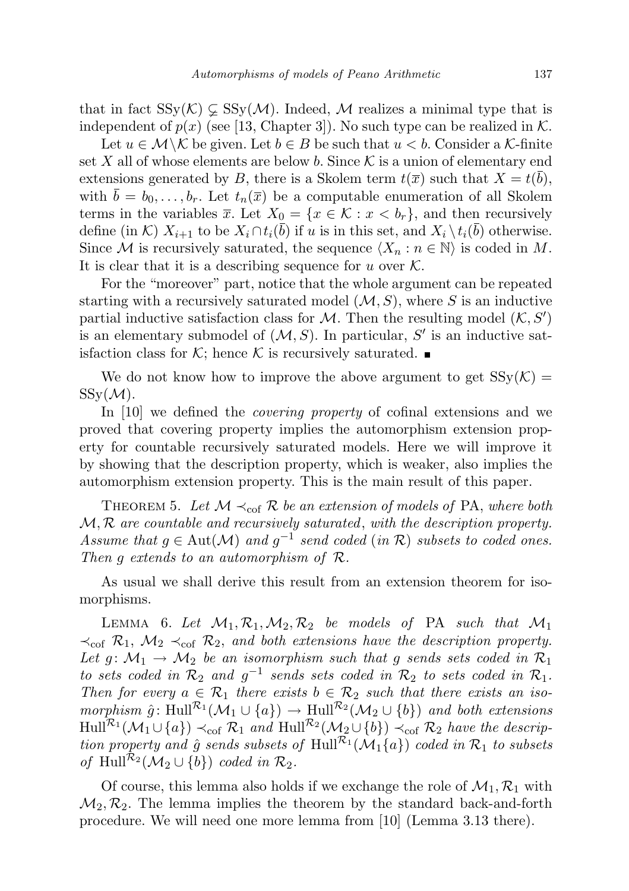that in fact  $SSy(\mathcal{K}) \subsetneq SSy(\mathcal{M})$ . Indeed, M realizes a minimal type that is independent of  $p(x)$  (see [13, Chapter 3]). No such type can be realized in K.

Let  $u \in \mathcal{M} \backslash \mathcal{K}$  be given. Let  $b \in B$  be such that  $u < b$ . Consider a K-finite set X all of whose elements are below b. Since  $\mathcal K$  is a union of elementary end extensions generated by B, there is a Skolem term  $t(\bar{x})$  such that  $X = t(b)$ , with  $\bar{b} = b_0, \ldots, b_r$ . Let  $t_n(\bar{x})$  be a computable enumeration of all Skolem terms in the variables  $\bar{x}$ . Let  $X_0 = \{x \in \mathcal{K} : x < b_r\}$ , and then recursively define (in K)  $X_{i+1}$  to be  $X_i \cap t_i(\bar{b})$  if u is in this set, and  $X_i \setminus t_i(\bar{b})$  otherwise. Since M is recursively saturated, the sequence  $\langle X_n : n \in \mathbb{N} \rangle$  is coded in M. It is clear that it is a describing sequence for u over  $\mathcal{K}$ .

For the "moreover" part, notice that the whole argument can be repeated starting with a recursively saturated model  $(M, S)$ , where S is an inductive partial inductive satisfaction class for  $M$ . Then the resulting model  $(K, S')$ is an elementary submodel of  $(M, S)$ . In particular, S' is an inductive satisfaction class for K; hence K is recursively saturated.

We do not know how to improve the above argument to get  $SSy(\mathcal{K}) =$  $SSy(\mathcal{M}).$ 

In [10] we defined the *covering property* of cofinal extensions and we proved that covering property implies the automorphism extension property for countable recursively saturated models. Here we will improve it by showing that the description property, which is weaker, also implies the automorphism extension property. This is the main result of this paper.

THEOREM 5. Let  $M \prec_{\text{cof}} R$  be an extension of models of PA, where both  $M, R$  are countable and recursively saturated, with the description property. Assume that  $g \in \text{Aut}(\mathcal{M})$  and  $g^{-1}$  send coded  $(in \mathcal{R})$  subsets to coded ones. Then g extends to an automorphism of R.

As usual we shall derive this result from an extension theorem for isomorphisms.

LEMMA 6. Let  $\mathcal{M}_1, \mathcal{R}_1, \mathcal{M}_2, \mathcal{R}_2$  be models of PA such that  $\mathcal{M}_1$  $\prec_{\text{cof}} \mathcal{R}_1$ ,  $\mathcal{M}_2 \prec_{\text{cof}} \mathcal{R}_2$ , and both extensions have the description property. Let  $g: \mathcal{M}_1 \to \mathcal{M}_2$  be an isomorphism such that g sends sets coded in  $\mathcal{R}_1$ to sets coded in  $\mathcal{R}_2$  and  $g^{-1}$  sends sets coded in  $\mathcal{R}_2$  to sets coded in  $\mathcal{R}_1$ . Then for every  $a \in \mathcal{R}_1$  there exists  $b \in \mathcal{R}_2$  such that there exists an isomorphism  $\hat{g}$ : Hull<sup> $\mathcal{R}_1(\mathcal{M}_1 \cup \{a\}) \to$  Hull $\mathcal{R}_2(\mathcal{M}_2 \cup \{b\})$  and both extensions</sup>  $\mathrm{Hull}^{\mathcal{R}_1}(\mathcal{M}_1 \cup \{a\}) \prec_{\mathrm{cof}} \mathcal{R}_1$  and  $\mathrm{Hull}^{\mathcal{R}_2}(\mathcal{M}_2 \cup \{b\}) \prec_{\mathrm{cof}} \mathcal{R}_2$  have the description property and  $\hat{g}$  sends subsets of Hull<sup> $\mathcal{R}_1(\mathcal{M}_1\{a\})$  coded in  $\mathcal{R}_1$  to subsets</sup> of Hull<sup> $\mathcal{R}_2(\mathcal{M}_2 \cup \{b\})$  coded in  $\mathcal{R}_2$ .</sup>

Of course, this lemma also holds if we exchange the role of  $\mathcal{M}_1, \mathcal{R}_1$  with  $\mathcal{M}_2, \mathcal{R}_2$ . The lemma implies the theorem by the standard back-and-forth procedure. We will need one more lemma from [10] (Lemma 3.13 there).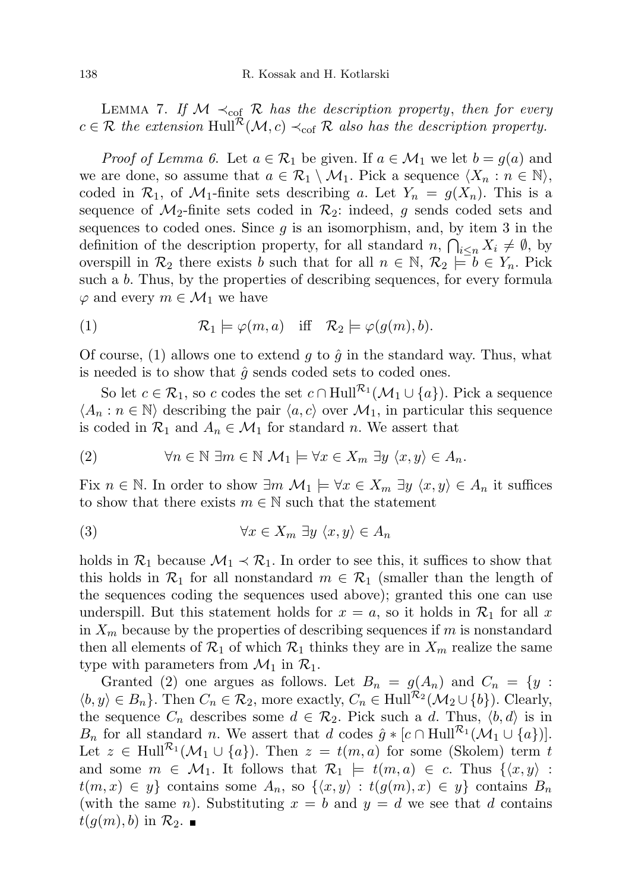LEMMA 7. If  $\mathcal{M} \prec_{\text{cof}} \mathcal{R}$  has the description property, then for every  $c \in \mathcal{R}$  the extension Hull<sup> $\mathcal{R}(\mathcal{M}, c) \prec_{\text{cof}} \mathcal{R}$  also has the description property.</sup>

*Proof of Lemma 6.* Let  $a \in \mathcal{R}_1$  be given. If  $a \in \mathcal{M}_1$  we let  $b = g(a)$  and we are done, so assume that  $a \in \mathcal{R}_1 \setminus \mathcal{M}_1$ . Pick a sequence  $\langle X_n : n \in \mathbb{N} \rangle$ , coded in  $\mathcal{R}_1$ , of  $\mathcal{M}_1$ -finite sets describing a. Let  $Y_n = g(X_n)$ . This is a sequence of  $\mathcal{M}_2$ -finite sets coded in  $\mathcal{R}_2$ : indeed, g sends coded sets and sequences to coded ones. Since  $g$  is an isomorphism, and, by item 3 in the definition of the description property, for all standard  $n, \bigcap_{i \leq n} X_i \neq \emptyset$ , by overspill in  $\mathcal{R}_2$  there exists b such that for all  $n \in \mathbb{N}$ ,  $\mathcal{R}_2 \models b \in Y_n$ . Pick such a b. Thus, by the properties of describing sequences, for every formula  $\varphi$  and every  $m \in \mathcal{M}_1$  we have

(1) 
$$
\mathcal{R}_1 \models \varphi(m, a)
$$
 iff  $\mathcal{R}_2 \models \varphi(g(m), b)$ .

Of course, (1) allows one to extend g to  $\hat{g}$  in the standard way. Thus, what is needed is to show that  $\hat{g}$  sends coded sets to coded ones.

So let  $c \in \mathcal{R}_1$ , so c codes the set  $c \cap Hull^{\mathcal{R}_1}(\mathcal{M}_1 \cup \{a\})$ . Pick a sequence  $\langle A_n : n \in \mathbb{N} \rangle$  describing the pair  $\langle a, c \rangle$  over  $\mathcal{M}_1$ , in particular this sequence is coded in  $\mathcal{R}_1$  and  $A_n \in \mathcal{M}_1$  for standard n. We assert that

(2) 
$$
\forall n \in \mathbb{N} \; \exists m \in \mathbb{N} \; \mathcal{M}_1 \models \forall x \in X_m \; \exists y \; \langle x, y \rangle \in A_n.
$$

Fix  $n \in \mathbb{N}$ . In order to show  $\exists m \mathcal{M}_1 \models \forall x \in X_m \exists y \langle x, y \rangle \in A_n$  it suffices to show that there exists  $m \in \mathbb{N}$  such that the statement

(3) ∀x ∈ X<sup>m</sup> ∃y hx, yi ∈ A<sup>n</sup>

holds in  $\mathcal{R}_1$  because  $\mathcal{M}_1 \prec \mathcal{R}_1$ . In order to see this, it suffices to show that this holds in  $\mathcal{R}_1$  for all nonstandard  $m \in \mathcal{R}_1$  (smaller than the length of the sequences coding the sequences used above); granted this one can use underspill. But this statement holds for  $x = a$ , so it holds in  $\mathcal{R}_1$  for all x in  $X_m$  because by the properties of describing sequences if m is nonstandard then all elements of  $\mathcal{R}_1$  of which  $\mathcal{R}_1$  thinks they are in  $X_m$  realize the same type with parameters from  $\mathcal{M}_1$  in  $\mathcal{R}_1$ .

Granted (2) one argues as follows. Let  $B_n = g(A_n)$  and  $C_n = \{y :$  $\langle b, y \rangle \in B_n$ . Then  $C_n \in \mathcal{R}_2$ , more exactly,  $C_n \in \text{Hull}^{\mathcal{R}_2}(\mathcal{M}_2 \cup \{b\})$ . Clearly, the sequence  $C_n$  describes some  $d \in \mathcal{R}_2$ . Pick such a d. Thus,  $\langle b, d \rangle$  is in  $B_n$  for all standard n. We assert that d codes  $\hat{g} * [c \cap \text{Hull}^{\mathcal{R}_1}(\mathcal{M}_1 \cup \{a\})].$ Let  $z \in \text{Hull}^{\mathcal{R}_1}(\mathcal{M}_1 \cup \{a\})$ . Then  $z = t(m, a)$  for some (Skolem) term t and some  $m \in \mathcal{M}_1$ . It follows that  $\mathcal{R}_1 \models t(m, a) \in c$ . Thus  $\{\langle x, y \rangle :$  $t(m, x) \in y$  contains some  $A_n$ , so  $\{(x, y) : t(g(m), x) \in y\}$  contains  $B_n$ (with the same n). Substituting  $x = b$  and  $y = d$  we see that d contains  $t(g(m), b)$  in  $\mathcal{R}_2$ .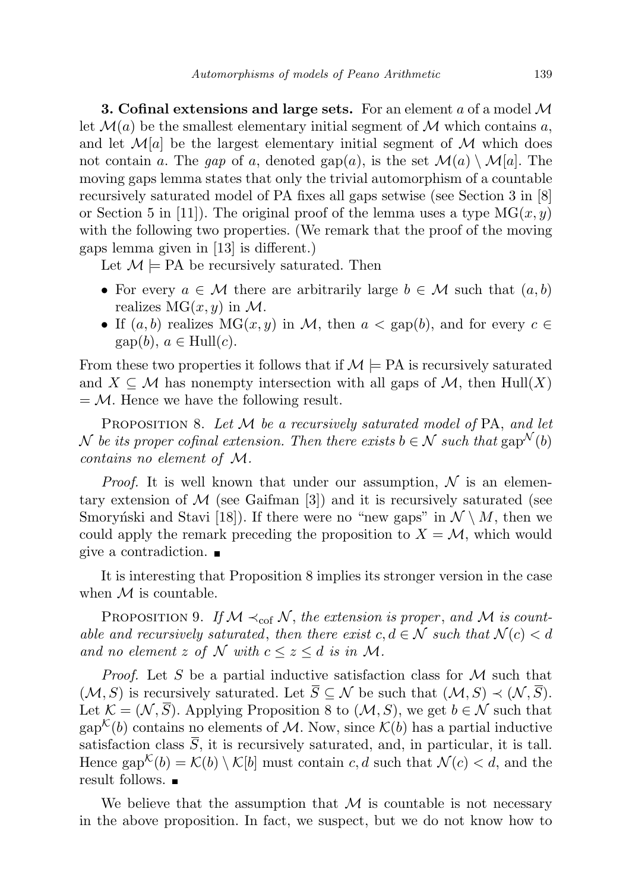**3. Cofinal extensions and large sets.** For an element a of a model  $\mathcal{M}$ let  $\mathcal{M}(a)$  be the smallest elementary initial segment of  $\mathcal M$  which contains a, and let  $\mathcal{M}[a]$  be the largest elementary initial segment of  $\mathcal M$  which does not contain a. The gap of a, denoted gap(a), is the set  $\mathcal{M}(a) \setminus \mathcal{M}[a]$ . The moving gaps lemma states that only the trivial automorphism of a countable recursively saturated model of PA fixes all gaps setwise (see Section 3 in [8] or Section 5 in [11]). The original proof of the lemma uses a type  $MG(x, y)$ with the following two properties. (We remark that the proof of the moving gaps lemma given in [13] is different.)

Let  $\mathcal{M} \models PA$  be recursively saturated. Then

- For every  $a \in \mathcal{M}$  there are arbitrarily large  $b \in \mathcal{M}$  such that  $(a, b)$ realizes  $MG(x, y)$  in M.
- If  $(a, b)$  realizes  $MG(x, y)$  in M, then  $a < \text{gap}(b)$ , and for every  $c \in$  $\text{gap}(b), a \in \text{Hull}(c).$

From these two properties it follows that if  $\mathcal{M} \models PA$  is recursively saturated and  $X \subseteq \mathcal{M}$  has nonempty intersection with all gaps of  $\mathcal{M}$ , then Hull $(X)$  $=\mathcal{M}$ . Hence we have the following result.

PROPOSITION 8. Let  $M$  be a recursively saturated model of PA, and let N be its proper cofinal extension. Then there exists  $b \in \mathcal{N}$  such that  $\text{gap}^{\mathcal{N}}(b)$ contains no element of M.

*Proof.* It is well known that under our assumption,  $\mathcal{N}$  is an elementary extension of  $\mathcal M$  (see Gaifman [3]) and it is recursively saturated (see Smoryn'ski and Stavi [18]). If there were no "new gaps" in  $\mathcal{N} \setminus M$ , then we could apply the remark preceding the proposition to  $X = M$ , which would give a contradiction.

It is interesting that Proposition 8 implies its stronger version in the case when  $\mathcal M$  is countable.

PROPOSITION 9. If  $M \prec_{\text{cof}} N$ , the extension is proper, and M is countable and recursively saturated, then there exist  $c, d \in \mathcal{N}$  such that  $\mathcal{N}(c) < d$ and no element z of N with  $c \leq z \leq d$  is in M.

*Proof.* Let S be a partial inductive satisfaction class for  $M$  such that  $(\mathcal{M}, S)$  is recursively saturated. Let  $\overline{S} \subseteq \mathcal{N}$  be such that  $(\mathcal{M}, S) \prec (\mathcal{N}, \overline{S})$ . Let  $\mathcal{K} = (\mathcal{N}, \overline{S})$ . Applying Proposition 8 to  $(\mathcal{M}, S)$ , we get  $b \in \mathcal{N}$  such that gap<sup> $\mathcal{K}(b)$ </sup> contains no elements of M. Now, since  $\mathcal{K}(b)$  has a partial inductive satisfaction class  $\overline{S}$ , it is recursively saturated, and, in particular, it is tall. Hence  $\text{gap}^{\mathcal{K}}(b) = \mathcal{K}(b) \setminus \mathcal{K}[b]$  must contain c, d such that  $\mathcal{N}(c) < d$ , and the result follows.

We believe that the assumption that  $M$  is countable is not necessary in the above proposition. In fact, we suspect, but we do not know how to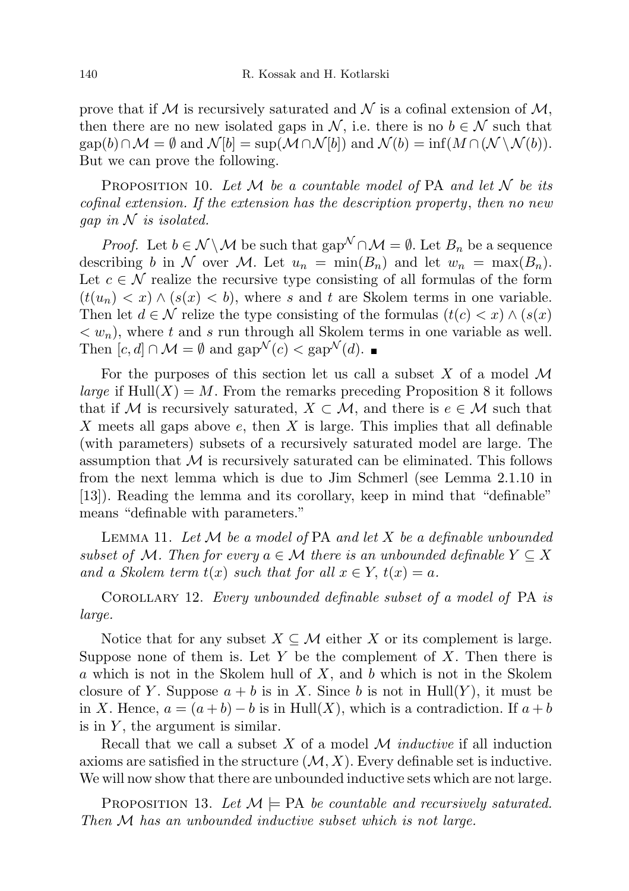prove that if M is recursively saturated and N is a cofinal extension of  $M$ , then there are no new isolated gaps in N, i.e. there is no  $b \in \mathcal{N}$  such that  $\text{gap}(b) \cap \mathcal{M} = \emptyset \text{ and } \mathcal{N}[b] = \text{sup}(\mathcal{M} \cap \mathcal{N}[b]) \text{ and } \mathcal{N}(b) = \text{inf}(M \cap (\mathcal{N} \setminus \mathcal{N}(b)).$ But we can prove the following.

PROPOSITION 10. Let  $M$  be a countable model of PA and let  $N$  be its cofinal extension. If the extension has the description property, then no new gap in  $N$  is isolated.

*Proof.* Let  $b \in \mathcal{N} \setminus \mathcal{M}$  be such that gap<sup> $\mathcal{N} \cap \mathcal{M} = \emptyset$ . Let  $B_n$  be a sequence</sup> describing b in N over M. Let  $u_n = \min(B_n)$  and let  $w_n = \max(B_n)$ . Let  $c \in \mathcal{N}$  realize the recursive type consisting of all formulas of the form  $(t(u_n) < x) \wedge (s(x) < b)$ , where s and t are Skolem terms in one variable. Then let  $d \in \mathcal{N}$  relize the type consisting of the formulas  $(t(c) < x) \wedge (s(x))$  $\langle w_n \rangle$ , where t and s run through all Skolem terms in one variable as well. Then  $[c, d] \cap \mathcal{M} = \emptyset$  and  $\text{gap}^{\mathcal{N}}(c) < \text{gap}^{\mathcal{N}}(d)$ .

For the purposes of this section let us call a subset  $X$  of a model  $\mathcal M$ *large* if  $\text{Hull}(X) = M$ . From the remarks preceding Proposition 8 it follows that if M is recursively saturated,  $X \subset \mathcal{M}$ , and there is  $e \in \mathcal{M}$  such that X meets all gaps above  $e$ , then  $X$  is large. This implies that all definable (with parameters) subsets of a recursively saturated model are large. The assumption that  $M$  is recursively saturated can be eliminated. This follows from the next lemma which is due to Jim Schmerl (see Lemma 2.1.10 in [13]). Reading the lemma and its corollary, keep in mind that "definable" means "definable with parameters."

LEMMA 11. Let  $M$  be a model of PA and let  $X$  be a definable unbounded subset of M. Then for every  $a \in \mathcal{M}$  there is an unbounded definable  $Y \subseteq X$ and a Skolem term  $t(x)$  such that for all  $x \in Y$ ,  $t(x) = a$ .

Corollary 12. Every unbounded definable subset of a model of PA is large.

Notice that for any subset  $X \subseteq \mathcal{M}$  either X or its complement is large. Suppose none of them is. Let Y be the complement of X. Then there is a which is not in the Skolem hull of  $X$ , and  $b$  which is not in the Skolem closure of Y. Suppose  $a + b$  is in X. Since b is not in Hull(Y), it must be in X. Hence,  $a = (a + b) - b$  is in Hull $(X)$ , which is a contradiction. If  $a + b$ is in  $Y$ , the argument is similar.

Recall that we call a subset  $X$  of a model  $M$  *inductive* if all induction axioms are satisfied in the structure  $(M, X)$ . Every definable set is inductive. We will now show that there are unbounded inductive sets which are not large.

PROPOSITION 13. Let  $\mathcal{M} \models \text{PA}$  be countable and recursively saturated. Then M has an unbounded inductive subset which is not large.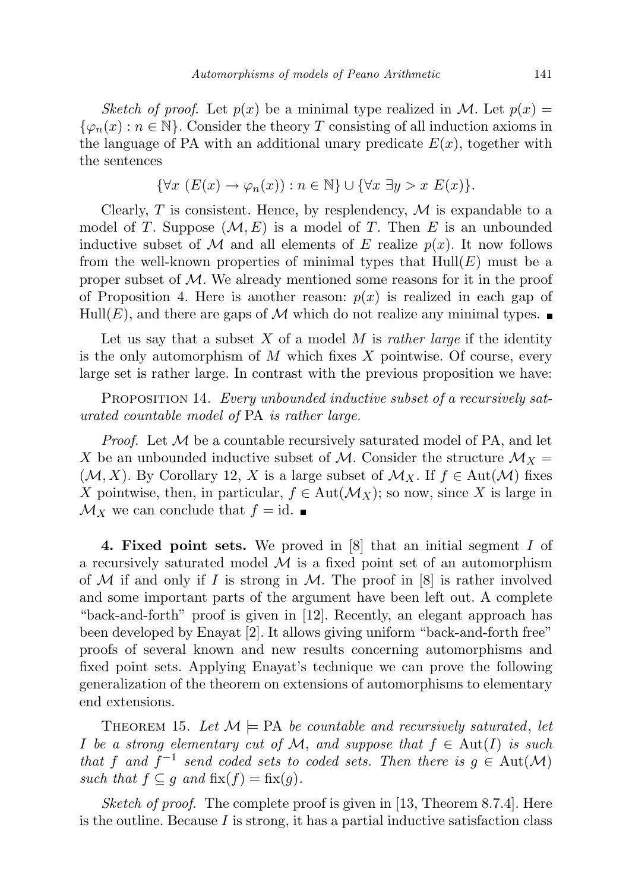Sketch of proof. Let  $p(x)$  be a minimal type realized in M. Let  $p(x) =$  $\{\varphi_n(x) : n \in \mathbb{N}\}\.$  Consider the theory T consisting of all induction axioms in the language of PA with an additional unary predicate  $E(x)$ , together with the sentences

$$
\{\forall x \ (E(x) \to \varphi_n(x)) : n \in \mathbb{N}\} \cup \{\forall x \ \exists y > x \ E(x)\}.
$$

Clearly, T is consistent. Hence, by resplendency,  $\mathcal M$  is expandable to a model of T. Suppose  $(\mathcal{M}, E)$  is a model of T. Then E is an unbounded inductive subset of M and all elements of E realize  $p(x)$ . It now follows from the well-known properties of minimal types that  $Hull(E)$  must be a proper subset of  $\mathcal M$ . We already mentioned some reasons for it in the proof of Proposition 4. Here is another reason:  $p(x)$  is realized in each gap of Hull(E), and there are gaps of M which do not realize any minimal types.  $\blacksquare$ 

Let us say that a subset  $X$  of a model  $M$  is *rather large* if the identity is the only automorphism of  $M$  which fixes  $X$  pointwise. Of course, every large set is rather large. In contrast with the previous proposition we have:

PROPOSITION 14. Every unbounded inductive subset of a recursively saturated countable model of PA is rather large.

*Proof.* Let  $M$  be a countable recursively saturated model of PA, and let X be an unbounded inductive subset of M. Consider the structure  $\mathcal{M}_X =$  $(\mathcal{M}, X)$ . By Corollary 12, X is a large subset of  $\mathcal{M}_X$ . If  $f \in Aut(\mathcal{M})$  fixes X pointwise, then, in particular,  $f \in Aut(\mathcal{M}_X)$ ; so now, since X is large in  $\mathcal{M}_X$  we can conclude that  $f = id$ .

4. Fixed point sets. We proved in [8] that an initial segment I of a recursively saturated model  $M$  is a fixed point set of an automorphism of M if and only if I is strong in M. The proof in  $[8]$  is rather involved and some important parts of the argument have been left out. A complete "back-and-forth" proof is given in [12]. Recently, an elegant approach has been developed by Enayat [2]. It allows giving uniform "back-and-forth free" proofs of several known and new results concerning automorphisms and fixed point sets. Applying Enayat's technique we can prove the following generalization of the theorem on extensions of automorphisms to elementary end extensions.

THEOREM 15. Let  $\mathcal{M} \models \text{PA}$  be countable and recursively saturated, let I be a strong elementary cut of M, and suppose that  $f \in Aut(I)$  is such that f and  $f^{-1}$  send coded sets to coded sets. Then there is  $g \in Aut(M)$ such that  $f \subseteq g$  and  $fix(f) = fix(g)$ .

Sketch of proof. The complete proof is given in [13, Theorem 8.7.4]. Here is the outline. Because  $I$  is strong, it has a partial inductive satisfaction class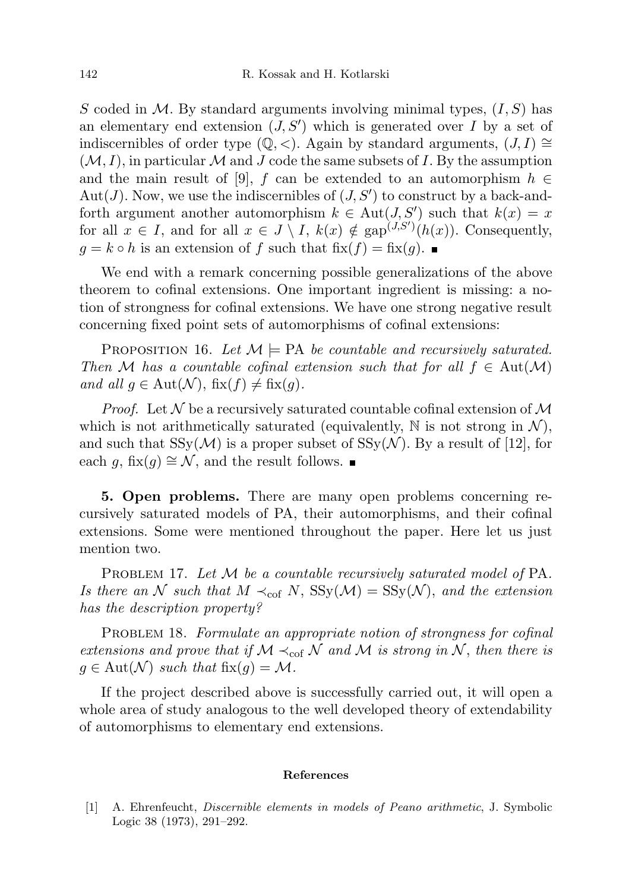S coded in M. By standard arguments involving minimal types,  $(I, S)$  has an elementary end extension  $(J, S')$  which is generated over I by a set of indiscernibles of order type  $(\mathbb{Q}, \langle \rangle)$ . Again by standard arguments,  $(J, I) \cong$  $(M, I)$ , in particular M and J code the same subsets of I. By the assumption and the main result of [9], f can be extended to an automorphism  $h \in$ Aut(J). Now, we use the indiscernibles of  $(J, S')$  to construct by a back-andforth argument another automorphism  $k \in Aut(J, S')$  such that  $k(x) = x$ for all  $x \in I$ , and for all  $x \in J \setminus I$ ,  $k(x) \notin \text{gap}^{(J,S')}(h(x))$ . Consequently,  $g = k \circ h$  is an extension of f such that  $fix(f) = fix(g)$ .

We end with a remark concerning possible generalizations of the above theorem to cofinal extensions. One important ingredient is missing: a notion of strongness for cofinal extensions. We have one strong negative result concerning fixed point sets of automorphisms of cofinal extensions:

PROPOSITION 16. Let  $\mathcal{M} \models PA$  be countable and recursively saturated. Then M has a countable cofinal extension such that for all  $f \in Aut(\mathcal{M})$ and all  $g \in Aut(\mathcal{N}), \, \text{fix}(f) \neq \text{fix}(g)$ .

*Proof.* Let  $N$  be a recursively saturated countable cofinal extension of  $M$ which is not arithmetically saturated (equivalently,  $\mathbb N$  is not strong in  $\mathcal N$ ), and such that  $SSy(\mathcal{M})$  is a proper subset of  $SSy(\mathcal{N})$ . By a result of [12], for each g, fix(g)  $\cong$  N, and the result follows. ■

5. Open problems. There are many open problems concerning recursively saturated models of PA, their automorphisms, and their cofinal extensions. Some were mentioned throughout the paper. Here let us just mention two.

PROBLEM 17. Let M be a countable recursively saturated model of PA. Is there an N such that  $M \prec_{\text{cof}} N$ ,  $SSy(\mathcal{M}) = SSy(\mathcal{N})$ , and the extension has the description property?

PROBLEM 18. Formulate an appropriate notion of strongness for cofinal extensions and prove that if  $M \prec_{\text{cof}} N$  and M is strong in N, then there is  $g \in \text{Aut}(\mathcal{N})$  such that  $\text{fix}(g) = \mathcal{M}$ .

If the project described above is successfully carried out, it will open a whole area of study analogous to the well developed theory of extendability of automorphisms to elementary end extensions.

## References

[1] A. Ehrenfeucht, Discernible elements in models of Peano arithmetic, J. Symbolic Logic 38 (1973), 291–292.